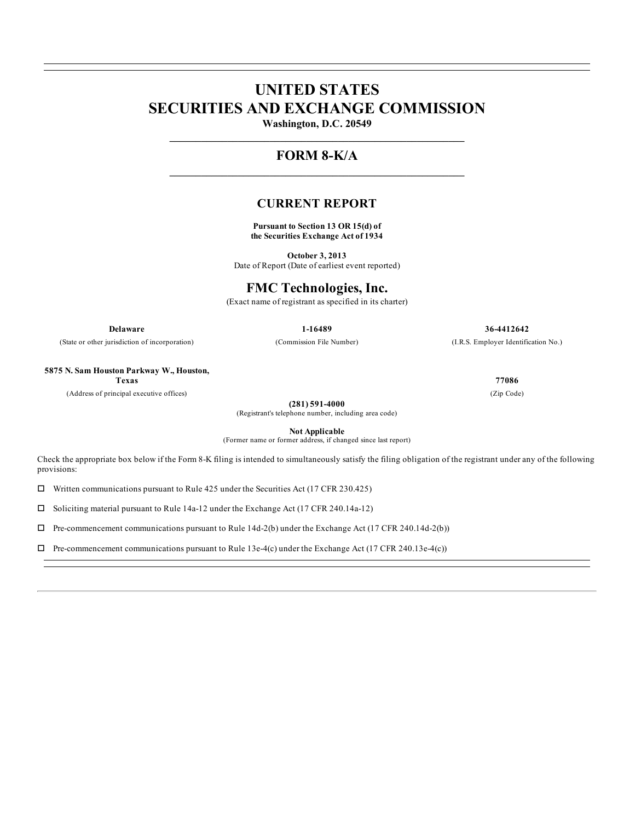# **UNITED STATES SECURITIES AND EXCHANGE COMMISSION**

**Washington, D.C. 20549 \_\_\_\_\_\_\_\_\_\_\_\_\_\_\_\_\_\_\_\_\_\_\_\_\_\_\_\_\_\_\_\_\_\_\_\_\_\_\_\_\_\_\_\_\_\_\_\_\_\_\_\_\_\_\_\_**

# **FORM 8-K/A \_\_\_\_\_\_\_\_\_\_\_\_\_\_\_\_\_\_\_\_\_\_\_\_\_\_\_\_\_\_\_\_\_\_\_\_\_\_\_\_\_\_\_\_\_\_\_\_\_\_\_\_\_\_\_\_**

### **CURRENT REPORT**

**Pursuant to Section 13 OR 15(d) of the Securities Exchange Act of 1934**

**October 3, 2013** Date of Report (Date of earliest event reported)

# **FMC Technologies, Inc.**

(Exact name of registrant as specified in its charter)

**Delaware 1-16489 36-4412642**

(State or other jurisdiction of incorporation) (Commission File Number) (I.R.S. Employer Identification No.)

**5875 N. Sam Houston Parkway W., Houston,**

(Address of principal executive offices) (Zip Code)

**(281) 591-4000**

(Registrant's telephone number, including area code)

**Not Applicable**

(Former name or former address, if changed since last report)

Check the appropriate box below if the Form 8-K filing is intended to simultaneously satisfy the filing obligation of the registrant under any of the following provisions:

 $\square$  Written communications pursuant to Rule 425 under the Securities Act (17 CFR 230.425)

 $\Box$  Soliciting material pursuant to Rule 14a-12 under the Exchange Act (17 CFR 240.14a-12)

 $\Box$  Pre-commencement communications pursuant to Rule 14d-2(b) under the Exchange Act (17 CFR 240.14d-2(b))

 $\Box$  Pre-commencement communications pursuant to Rule 13e-4(c) under the Exchange Act (17 CFR 240.13e-4(c))

**Texas 77086**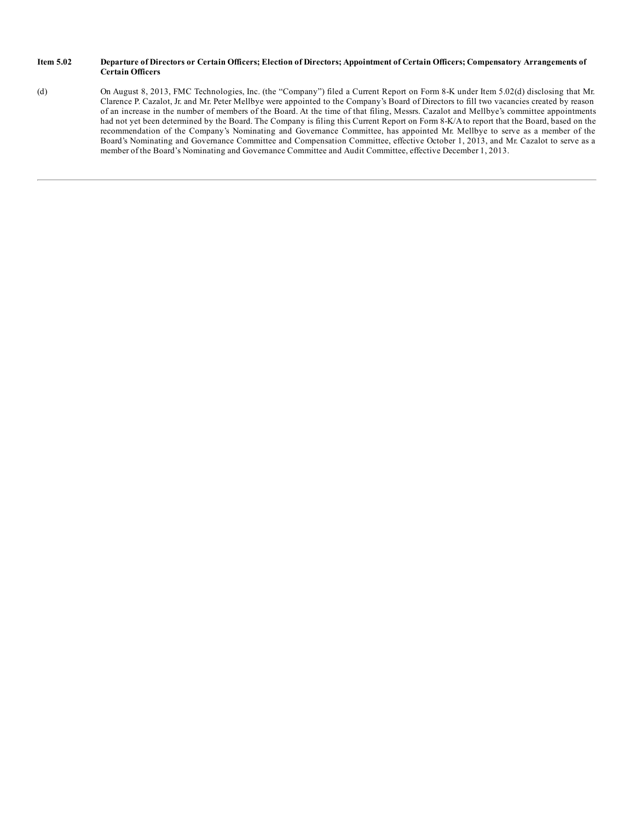#### Item 5.02 Departure of Directors or Certain Officers; Election of Directors; Appointment of Certain Officers; Compensatory Arrangements of **Certain Officers**

(d) On August 8, 2013, FMC Technologies, Inc. (the "Company") filed a Current Report on Form 8-K under Item 5.02(d) disclosing that Mr. Clarence P. Cazalot, Jr. and Mr. Peter Mellbye were appointed to the Company's Board of Directors to fill two vacancies created by reason of an increase in the number of members of the Board. At the time of that filing, Messrs. Cazalot and Mellbye's committee appointments had not yet been determined by the Board. The Company is filing this Current Report on Form 8-K/A to report that the Board, based on the recommendation of the Company's Nominating and Governance Committee, has appointed Mr. Mellbye to serve as a member of the Board's Nominating and Governance Committee and Compensation Committee, effective October 1, 2013, and Mr. Cazalot to serve as a member of the Board's Nominating and Governance Committee and Audit Committee, effective December 1, 2013.